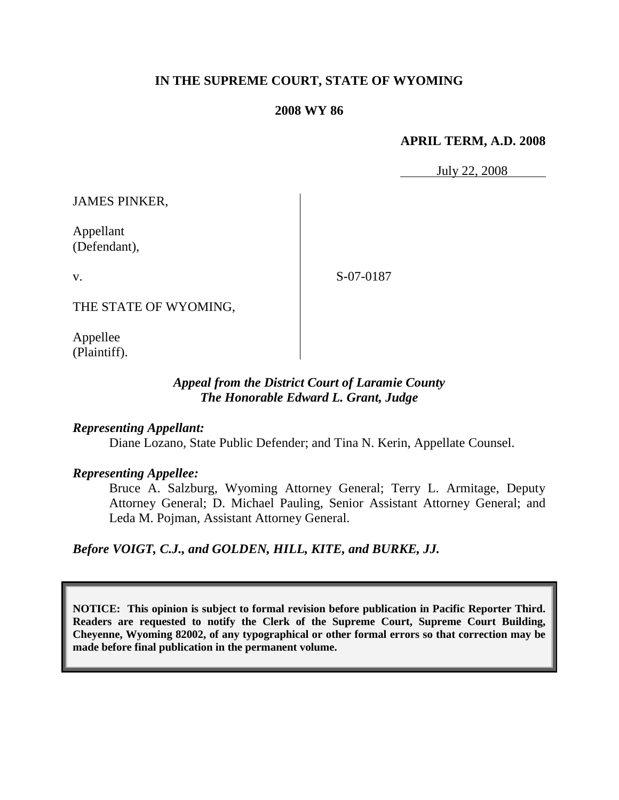# **IN THE SUPREME COURT, STATE OF WYOMING**

### **2008 WY 86**

### **APRIL TERM, A.D. 2008**

July 22, 2008

JAMES PINKER,

Appellant (Defendant),

v.

S-07-0187

THE STATE OF WYOMING,

Appellee (Plaintiff).

## *Appeal from the District Court of Laramie County The Honorable Edward L. Grant, Judge*

### *Representing Appellant:*

Diane Lozano, State Public Defender; and Tina N. Kerin, Appellate Counsel.

## *Representing Appellee:*

Bruce A. Salzburg, Wyoming Attorney General; Terry L. Armitage, Deputy Attorney General; D. Michael Pauling, Senior Assistant Attorney General; and Leda M. Pojman, Assistant Attorney General.

*Before VOIGT, C.J., and GOLDEN, HILL, KITE, and BURKE, JJ.*

**NOTICE: This opinion is subject to formal revision before publication in Pacific Reporter Third. Readers are requested to notify the Clerk of the Supreme Court, Supreme Court Building, Cheyenne, Wyoming 82002, of any typographical or other formal errors so that correction may be made before final publication in the permanent volume.**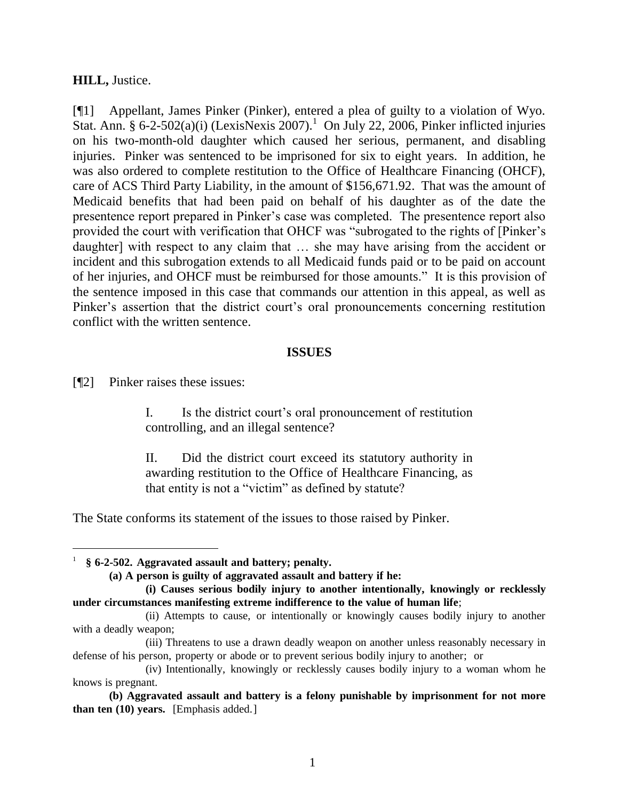### **HILL,** Justice.

[¶1] Appellant, James Pinker (Pinker), entered a plea of guilty to a violation of Wyo. Stat. Ann. § 6-2-502(a)(i) (LexisNexis 2007).<sup>1</sup> On July 22, 2006, Pinker inflicted injuries on his two-month-old daughter which caused her serious, permanent, and disabling injuries. Pinker was sentenced to be imprisoned for six to eight years. In addition, he was also ordered to complete restitution to the Office of Healthcare Financing (OHCF), care of ACS Third Party Liability, in the amount of \$156,671.92. That was the amount of Medicaid benefits that had been paid on behalf of his daughter as of the date the presentence report prepared in Pinker"s case was completed. The presentence report also provided the court with verification that OHCF was "subrogated to the rights of [Pinker"s daughter] with respect to any claim that … she may have arising from the accident or incident and this subrogation extends to all Medicaid funds paid or to be paid on account of her injuries, and OHCF must be reimbursed for those amounts." It is this provision of the sentence imposed in this case that commands our attention in this appeal, as well as Pinker's assertion that the district court's oral pronouncements concerning restitution conflict with the written sentence.

### **ISSUES**

[¶2] Pinker raises these issues:

 $\overline{a}$ 

I. Is the district court"s oral pronouncement of restitution controlling, and an illegal sentence?

II. Did the district court exceed its statutory authority in awarding restitution to the Office of Healthcare Financing, as that entity is not a "victim" as defined by statute?

The State conforms its statement of the issues to those raised by Pinker.

<sup>1</sup> **§ 6-2-502. Aggravated assault and battery; penalty.**

**<sup>(</sup>a) A person is guilty of aggravated assault and battery if he:**

**<sup>(</sup>i) Causes serious bodily injury to another intentionally, knowingly or recklessly under circumstances manifesting extreme indifference to the value of human life**;

<sup>(</sup>ii) Attempts to cause, or intentionally or knowingly causes bodily injury to another with a deadly weapon;

<sup>(</sup>iii) Threatens to use a drawn deadly weapon on another unless reasonably necessary in defense of his person, property or abode or to prevent serious bodily injury to another; or

<sup>(</sup>iv) Intentionally, knowingly or recklessly causes bodily injury to a woman whom he knows is pregnant.

**<sup>(</sup>b) Aggravated assault and battery is a felony punishable by imprisonment for not more than ten (10) years.** [Emphasis added.]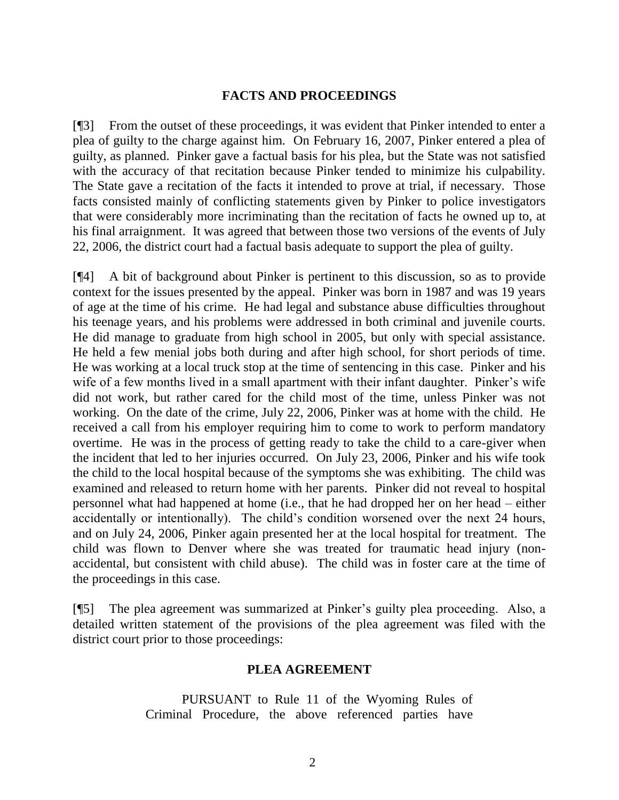### **FACTS AND PROCEEDINGS**

[¶3] From the outset of these proceedings, it was evident that Pinker intended to enter a plea of guilty to the charge against him. On February 16, 2007, Pinker entered a plea of guilty, as planned. Pinker gave a factual basis for his plea, but the State was not satisfied with the accuracy of that recitation because Pinker tended to minimize his culpability. The State gave a recitation of the facts it intended to prove at trial, if necessary. Those facts consisted mainly of conflicting statements given by Pinker to police investigators that were considerably more incriminating than the recitation of facts he owned up to, at his final arraignment. It was agreed that between those two versions of the events of July 22, 2006, the district court had a factual basis adequate to support the plea of guilty.

[¶4] A bit of background about Pinker is pertinent to this discussion, so as to provide context for the issues presented by the appeal. Pinker was born in 1987 and was 19 years of age at the time of his crime. He had legal and substance abuse difficulties throughout his teenage years, and his problems were addressed in both criminal and juvenile courts. He did manage to graduate from high school in 2005, but only with special assistance. He held a few menial jobs both during and after high school, for short periods of time. He was working at a local truck stop at the time of sentencing in this case. Pinker and his wife of a few months lived in a small apartment with their infant daughter. Pinker's wife did not work, but rather cared for the child most of the time, unless Pinker was not working. On the date of the crime, July 22, 2006, Pinker was at home with the child. He received a call from his employer requiring him to come to work to perform mandatory overtime. He was in the process of getting ready to take the child to a care-giver when the incident that led to her injuries occurred. On July 23, 2006, Pinker and his wife took the child to the local hospital because of the symptoms she was exhibiting. The child was examined and released to return home with her parents. Pinker did not reveal to hospital personnel what had happened at home (i.e., that he had dropped her on her head – either accidentally or intentionally). The child"s condition worsened over the next 24 hours, and on July 24, 2006, Pinker again presented her at the local hospital for treatment. The child was flown to Denver where she was treated for traumatic head injury (nonaccidental, but consistent with child abuse). The child was in foster care at the time of the proceedings in this case.

[¶5] The plea agreement was summarized at Pinker"s guilty plea proceeding. Also, a detailed written statement of the provisions of the plea agreement was filed with the district court prior to those proceedings:

#### **PLEA AGREEMENT**

PURSUANT to Rule 11 of the Wyoming Rules of Criminal Procedure, the above referenced parties have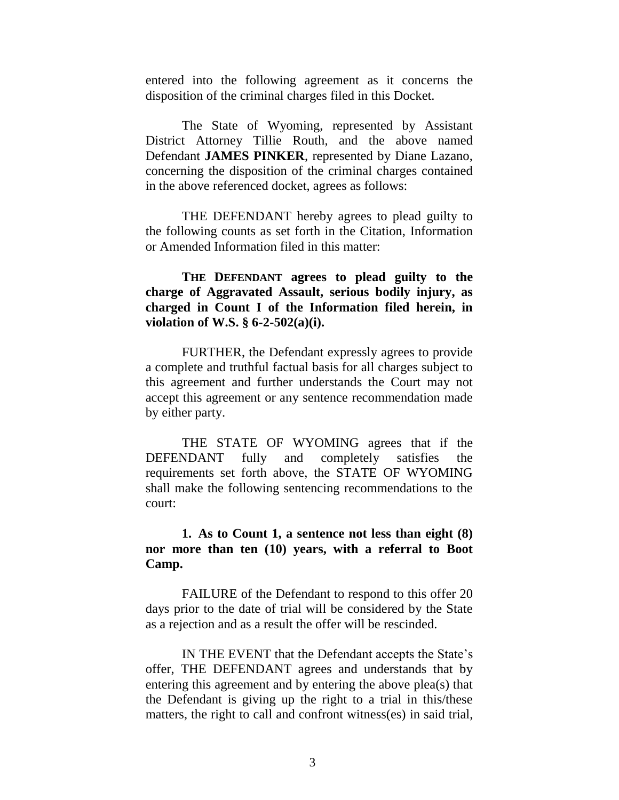entered into the following agreement as it concerns the disposition of the criminal charges filed in this Docket.

The State of Wyoming, represented by Assistant District Attorney Tillie Routh, and the above named Defendant **JAMES PINKER**, represented by Diane Lazano, concerning the disposition of the criminal charges contained in the above referenced docket, agrees as follows:

THE DEFENDANT hereby agrees to plead guilty to the following counts as set forth in the Citation, Information or Amended Information filed in this matter:

**THE DEFENDANT agrees to plead guilty to the charge of Aggravated Assault, serious bodily injury, as charged in Count I of the Information filed herein, in violation of W.S. § 6-2-502(a)(i).**

FURTHER, the Defendant expressly agrees to provide a complete and truthful factual basis for all charges subject to this agreement and further understands the Court may not accept this agreement or any sentence recommendation made by either party.

THE STATE OF WYOMING agrees that if the DEFENDANT fully and completely satisfies the requirements set forth above, the STATE OF WYOMING shall make the following sentencing recommendations to the court:

**1. As to Count 1, a sentence not less than eight (8) nor more than ten (10) years, with a referral to Boot Camp.**

FAILURE of the Defendant to respond to this offer 20 days prior to the date of trial will be considered by the State as a rejection and as a result the offer will be rescinded.

IN THE EVENT that the Defendant accepts the State"s offer, THE DEFENDANT agrees and understands that by entering this agreement and by entering the above plea(s) that the Defendant is giving up the right to a trial in this/these matters, the right to call and confront witness(es) in said trial,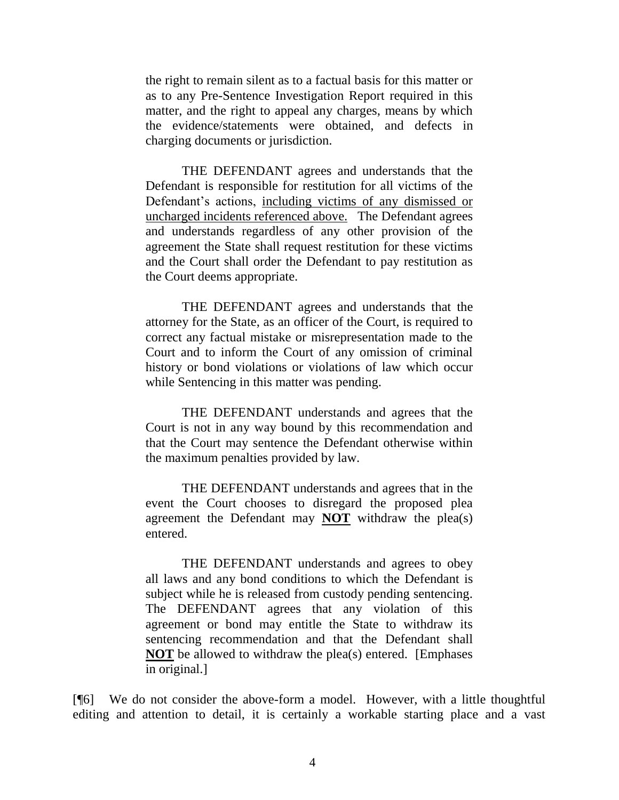the right to remain silent as to a factual basis for this matter or as to any Pre-Sentence Investigation Report required in this matter, and the right to appeal any charges, means by which the evidence/statements were obtained, and defects in charging documents or jurisdiction.

THE DEFENDANT agrees and understands that the Defendant is responsible for restitution for all victims of the Defendant's actions, including victims of any dismissed or uncharged incidents referenced above. The Defendant agrees and understands regardless of any other provision of the agreement the State shall request restitution for these victims and the Court shall order the Defendant to pay restitution as the Court deems appropriate.

THE DEFENDANT agrees and understands that the attorney for the State, as an officer of the Court, is required to correct any factual mistake or misrepresentation made to the Court and to inform the Court of any omission of criminal history or bond violations or violations of law which occur while Sentencing in this matter was pending.

THE DEFENDANT understands and agrees that the Court is not in any way bound by this recommendation and that the Court may sentence the Defendant otherwise within the maximum penalties provided by law.

THE DEFENDANT understands and agrees that in the event the Court chooses to disregard the proposed plea agreement the Defendant may **NOT** withdraw the plea(s) entered.

THE DEFENDANT understands and agrees to obey all laws and any bond conditions to which the Defendant is subject while he is released from custody pending sentencing. The DEFENDANT agrees that any violation of this agreement or bond may entitle the State to withdraw its sentencing recommendation and that the Defendant shall **NOT** be allowed to withdraw the plea(s) entered. [Emphases in original.]

[¶6] We do not consider the above-form a model. However, with a little thoughtful editing and attention to detail, it is certainly a workable starting place and a vast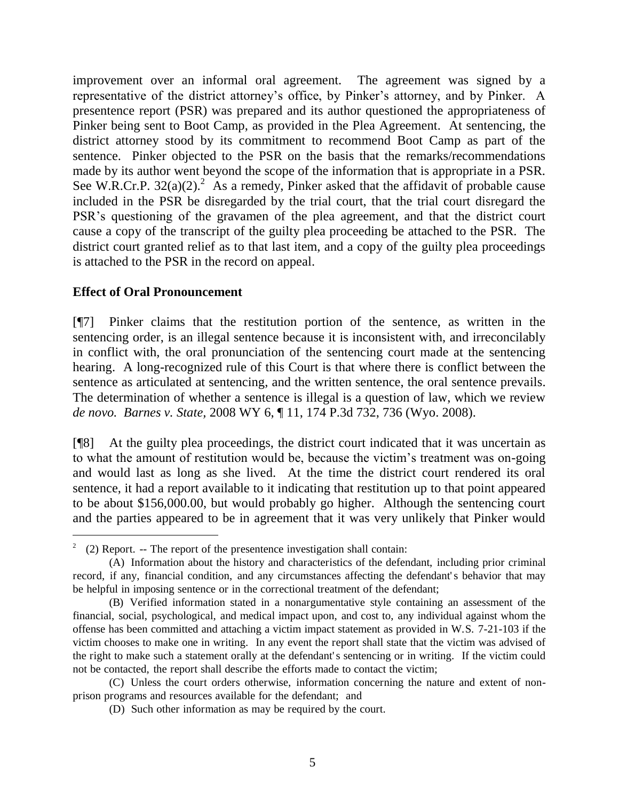improvement over an informal oral agreement. The agreement was signed by a representative of the district attorney"s office, by Pinker"s attorney, and by Pinker. A presentence report (PSR) was prepared and its author questioned the appropriateness of Pinker being sent to Boot Camp, as provided in the Plea Agreement. At sentencing, the district attorney stood by its commitment to recommend Boot Camp as part of the sentence. Pinker objected to the PSR on the basis that the remarks/recommendations made by its author went beyond the scope of the information that is appropriate in a PSR. See W.R.Cr.P.  $32(a)(2)$ .<sup>2</sup> As a remedy, Pinker asked that the affidavit of probable cause included in the PSR be disregarded by the trial court, that the trial court disregard the PSR"s questioning of the gravamen of the plea agreement, and that the district court cause a copy of the transcript of the guilty plea proceeding be attached to the PSR. The district court granted relief as to that last item, and a copy of the guilty plea proceedings is attached to the PSR in the record on appeal.

## **Effect of Oral Pronouncement**

 $\overline{a}$ 

[¶7] Pinker claims that the restitution portion of the sentence, as written in the sentencing order, is an illegal sentence because it is inconsistent with, and irreconcilably in conflict with, the oral pronunciation of the sentencing court made at the sentencing hearing. A long-recognized rule of this Court is that where there is conflict between the sentence as articulated at sentencing, and the written sentence, the oral sentence prevails. The determination of whether a sentence is illegal is a question of law, which we review *de novo. Barnes v. State,* 2008 WY 6, ¶ 11, 174 P.3d 732, 736 (Wyo. 2008).

[¶8] At the guilty plea proceedings, the district court indicated that it was uncertain as to what the amount of restitution would be, because the victim"s treatment was on-going and would last as long as she lived. At the time the district court rendered its oral sentence, it had a report available to it indicating that restitution up to that point appeared to be about \$156,000.00, but would probably go higher. Although the sentencing court and the parties appeared to be in agreement that it was very unlikely that Pinker would

<sup>&</sup>lt;sup>2</sup> (2) Report. -- The report of the presentence investigation shall contain:

<sup>(</sup>A) Information about the history and characteristics of the defendant, including prior criminal record, if any, financial condition, and any circumstances affecting the defendant's behavior that may be helpful in imposing sentence or in the correctional treatment of the defendant;

<sup>(</sup>B) Verified information stated in a nonargumentative style containing an assessment of the financial, social, psychological, and medical impact upon, and cost to, any individual against whom the offense has been committed and attaching a victim impact statement as provided in W.S. 7-21-103 if the victim chooses to make one in writing. In any event the report shall state that the victim was advised of the right to make such a statement orally at the defendant' s sentencing or in writing. If the victim could not be contacted, the report shall describe the efforts made to contact the victim;

<sup>(</sup>C) Unless the court orders otherwise, information concerning the nature and extent of nonprison programs and resources available for the defendant; and

<sup>(</sup>D) Such other information as may be required by the court.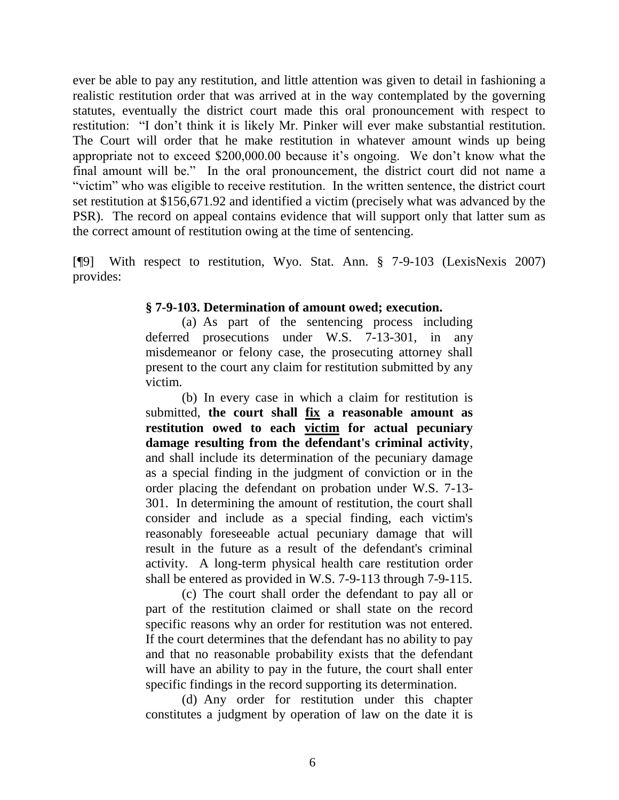ever be able to pay any restitution, and little attention was given to detail in fashioning a realistic restitution order that was arrived at in the way contemplated by the governing statutes, eventually the district court made this oral pronouncement with respect to restitution: "I don"t think it is likely Mr. Pinker will ever make substantial restitution. The Court will order that he make restitution in whatever amount winds up being appropriate not to exceed \$200,000.00 because it"s ongoing. We don"t know what the final amount will be." In the oral pronouncement, the district court did not name a "victim" who was eligible to receive restitution. In the written sentence, the district court set restitution at \$156,671.92 and identified a victim (precisely what was advanced by the PSR). The record on appeal contains evidence that will support only that latter sum as the correct amount of restitution owing at the time of sentencing.

[¶9] With respect to restitution, Wyo. Stat. Ann. § 7-9-103 (LexisNexis 2007) provides:

### **§ 7-9-103. Determination of amount owed; execution.**

(a) As part of the sentencing process including deferred prosecutions under W.S. 7-13-301, in any misdemeanor or felony case, the prosecuting attorney shall present to the court any claim for restitution submitted by any victim.

(b) In every case in which a claim for restitution is submitted, **the court shall fix a reasonable amount as restitution owed to each victim for actual pecuniary damage resulting from the defendant's criminal activity**, and shall include its determination of the pecuniary damage as a special finding in the judgment of conviction or in the order placing the defendant on probation under W.S. 7-13- 301. In determining the amount of restitution, the court shall consider and include as a special finding, each victim's reasonably foreseeable actual pecuniary damage that will result in the future as a result of the defendant's criminal activity. A long-term physical health care restitution order shall be entered as provided in W.S. 7-9-113 through 7-9-115.

(c) The court shall order the defendant to pay all or part of the restitution claimed or shall state on the record specific reasons why an order for restitution was not entered. If the court determines that the defendant has no ability to pay and that no reasonable probability exists that the defendant will have an ability to pay in the future, the court shall enter specific findings in the record supporting its determination.

(d) Any order for restitution under this chapter constitutes a judgment by operation of law on the date it is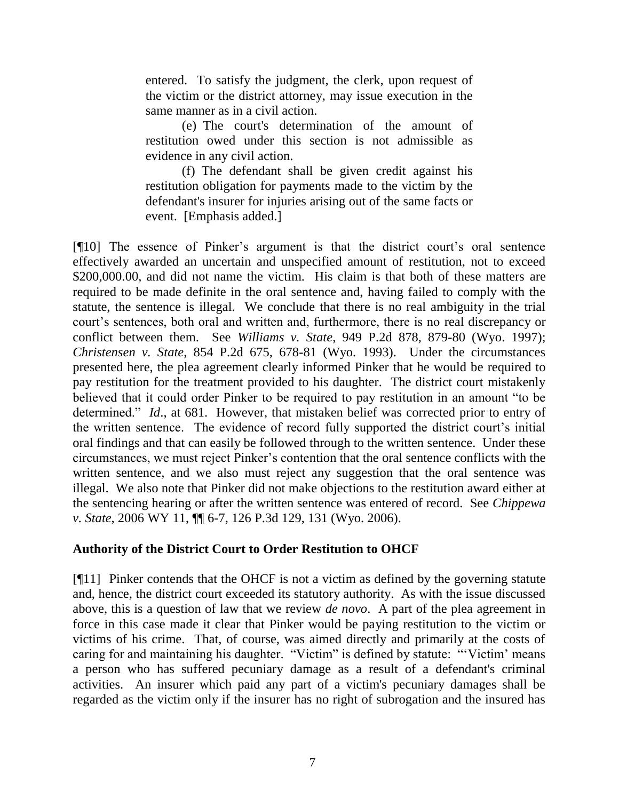entered. To satisfy the judgment, the clerk, upon request of the victim or the district attorney, may issue execution in the same manner as in a civil action.

(e) The court's determination of the amount of restitution owed under this section is not admissible as evidence in any civil action.

(f) The defendant shall be given credit against his restitution obligation for payments made to the victim by the defendant's insurer for injuries arising out of the same facts or event. [Emphasis added.]

[¶10] The essence of Pinker's argument is that the district court's oral sentence effectively awarded an uncertain and unspecified amount of restitution, not to exceed \$200,000.00, and did not name the victim. His claim is that both of these matters are required to be made definite in the oral sentence and, having failed to comply with the statute, the sentence is illegal. We conclude that there is no real ambiguity in the trial court"s sentences, both oral and written and, furthermore, there is no real discrepancy or conflict between them. See *Williams v. State*, 949 P.2d 878, 879-80 (Wyo. 1997); *Christensen v. State*, 854 P.2d 675, 678-81 (Wyo. 1993). Under the circumstances presented here, the plea agreement clearly informed Pinker that he would be required to pay restitution for the treatment provided to his daughter. The district court mistakenly believed that it could order Pinker to be required to pay restitution in an amount "to be determined." *Id.*, at 681. However, that mistaken belief was corrected prior to entry of the written sentence. The evidence of record fully supported the district court's initial oral findings and that can easily be followed through to the written sentence. Under these circumstances, we must reject Pinker"s contention that the oral sentence conflicts with the written sentence, and we also must reject any suggestion that the oral sentence was illegal. We also note that Pinker did not make objections to the restitution award either at the sentencing hearing or after the written sentence was entered of record. See *Chippewa v. State*, 2006 WY 11, ¶¶ 6-7, 126 P.3d 129, 131 (Wyo. 2006).

# **Authority of the District Court to Order Restitution to OHCF**

[¶11] Pinker contends that the OHCF is not a victim as defined by the governing statute and, hence, the district court exceeded its statutory authority. As with the issue discussed above, this is a question of law that we review *de novo*. A part of the plea agreement in force in this case made it clear that Pinker would be paying restitution to the victim or victims of his crime. That, of course, was aimed directly and primarily at the costs of caring for and maintaining his daughter. "Victim" is defined by statute: ""Victim" means a person who has suffered pecuniary damage as a result of a defendant's criminal activities. An insurer which paid any part of a victim's pecuniary damages shall be regarded as the victim only if the insurer has no right of subrogation and the insured has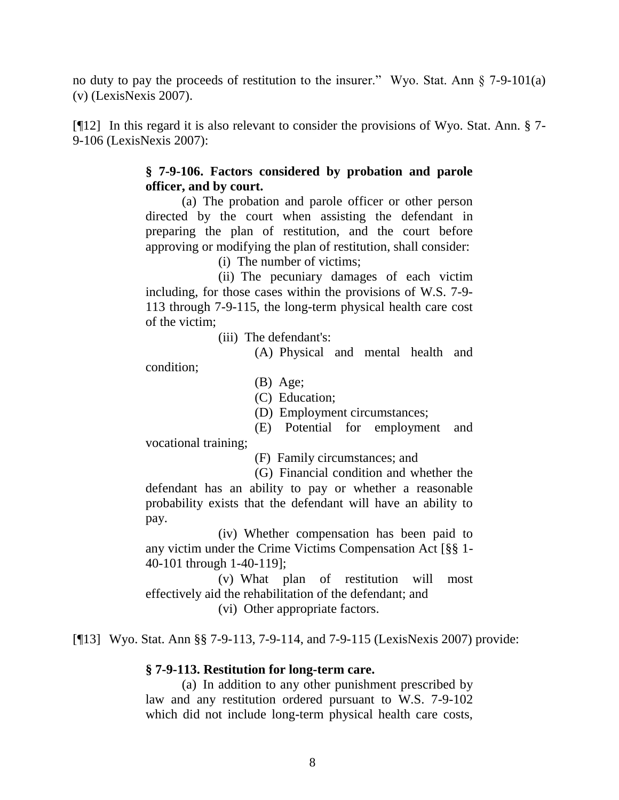no duty to pay the proceeds of restitution to the insurer." Wyo. Stat. Ann  $\S$  7-9-101(a) (v) (LexisNexis 2007).

[¶12] In this regard it is also relevant to consider the provisions of Wyo. Stat. Ann. § 7- 9-106 (LexisNexis 2007):

# **§ 7-9-106. Factors considered by probation and parole officer, and by court.**

(a) The probation and parole officer or other person directed by the court when assisting the defendant in preparing the plan of restitution, and the court before approving or modifying the plan of restitution, shall consider:

(i) The number of victims;

(ii) The pecuniary damages of each victim including, for those cases within the provisions of W.S. 7-9- 113 through 7-9-115, the long-term physical health care cost of the victim;

(iii) The defendant's:

(A) Physical and mental health and

condition;

(B) Age;

(C) Education;

(D) Employment circumstances;

(E) Potential for employment and vocational training;

(F) Family circumstances; and

(G) Financial condition and whether the defendant has an ability to pay or whether a reasonable probability exists that the defendant will have an ability to pay.

(iv) Whether compensation has been paid to any victim under the Crime Victims Compensation Act [§§ 1- 40-101 through 1-40-119];

(v) What plan of restitution will most effectively aid the rehabilitation of the defendant; and

(vi) Other appropriate factors.

[¶13] Wyo. Stat. Ann §§ 7-9-113, 7-9-114, and 7-9-115 (LexisNexis 2007) provide:

# **§ 7-9-113. Restitution for long-term care.**

(a) In addition to any other punishment prescribed by law and any restitution ordered pursuant to W.S. 7-9-102 which did not include long-term physical health care costs,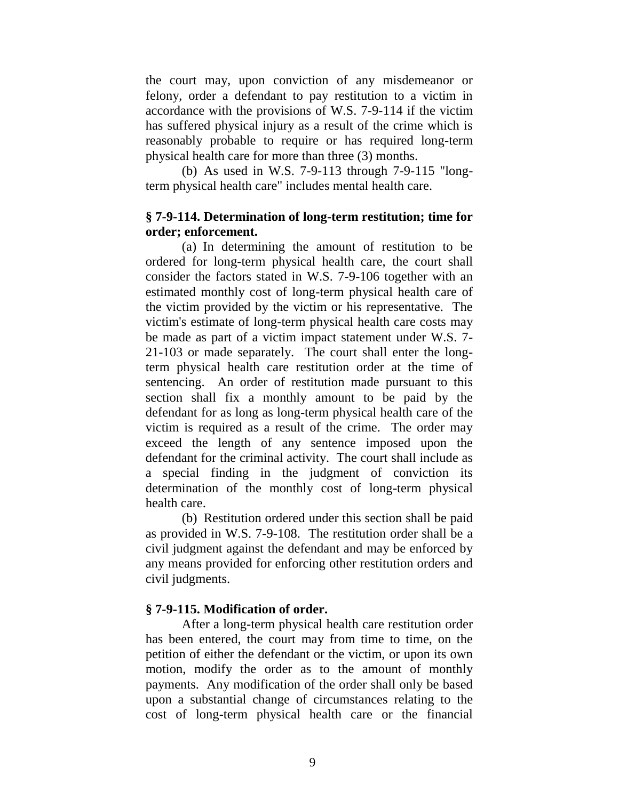the court may, upon conviction of any misdemeanor or felony, order a defendant to pay restitution to a victim in accordance with the provisions of W.S. 7-9-114 if the victim has suffered physical injury as a result of the crime which is reasonably probable to require or has required long-term physical health care for more than three (3) months.

(b) As used in W.S. 7-9-113 through 7-9-115 "longterm physical health care" includes mental health care.

# **§ 7-9-114. Determination of long-term restitution; time for order; enforcement.**

(a) In determining the amount of restitution to be ordered for long-term physical health care, the court shall consider the factors stated in W.S. 7-9-106 together with an estimated monthly cost of long-term physical health care of the victim provided by the victim or his representative. The victim's estimate of long-term physical health care costs may be made as part of a victim impact statement under W.S. 7- 21-103 or made separately. The court shall enter the longterm physical health care restitution order at the time of sentencing. An order of restitution made pursuant to this section shall fix a monthly amount to be paid by the defendant for as long as long-term physical health care of the victim is required as a result of the crime. The order may exceed the length of any sentence imposed upon the defendant for the criminal activity. The court shall include as a special finding in the judgment of conviction its determination of the monthly cost of long-term physical health care.

(b) Restitution ordered under this section shall be paid as provided in W.S. 7-9-108. The restitution order shall be a civil judgment against the defendant and may be enforced by any means provided for enforcing other restitution orders and civil judgments.

# **§ 7-9-115. Modification of order.**

After a long-term physical health care restitution order has been entered, the court may from time to time, on the petition of either the defendant or the victim, or upon its own motion, modify the order as to the amount of monthly payments. Any modification of the order shall only be based upon a substantial change of circumstances relating to the cost of long-term physical health care or the financial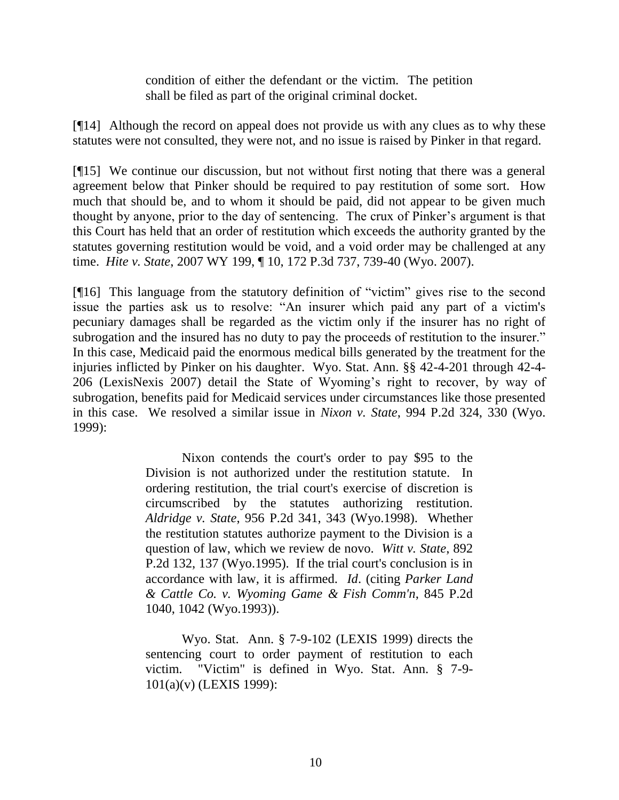condition of either the defendant or the victim. The petition shall be filed as part of the original criminal docket.

[¶14] Although the record on appeal does not provide us with any clues as to why these statutes were not consulted, they were not, and no issue is raised by Pinker in that regard.

[¶15] We continue our discussion, but not without first noting that there was a general agreement below that Pinker should be required to pay restitution of some sort. How much that should be, and to whom it should be paid, did not appear to be given much thought by anyone, prior to the day of sentencing. The crux of Pinker"s argument is that this Court has held that an order of restitution which exceeds the authority granted by the statutes governing restitution would be void, and a void order may be challenged at any time. *Hite v. State*, 2007 WY 199, ¶ 10, 172 P.3d 737, 739-40 (Wyo. 2007).

[¶16] This language from the statutory definition of "victim" gives rise to the second issue the parties ask us to resolve: "An insurer which paid any part of a victim's pecuniary damages shall be regarded as the victim only if the insurer has no right of subrogation and the insured has no duty to pay the proceeds of restitution to the insurer." In this case, Medicaid paid the enormous medical bills generated by the treatment for the injuries inflicted by Pinker on his daughter. Wyo. Stat. Ann. §§ 42-4-201 through 42-4- 206 (LexisNexis 2007) detail the State of Wyoming"s right to recover, by way of subrogation, benefits paid for Medicaid services under circumstances like those presented in this case. We resolved a similar issue in *Nixon v. State*, 994 P.2d 324, 330 (Wyo. 1999):

> Nixon contends the court's order to pay \$95 to the Division is not authorized under the restitution statute. In ordering restitution, the trial court's exercise of discretion is circumscribed by the statutes authorizing restitution. *Aldridge v. State*, 956 P.2d 341, 343 (Wyo.1998). Whether the restitution statutes authorize payment to the Division is a question of law, which we review de novo. *Witt v. State*, 892 P.2d 132, 137 (Wyo.1995). If the trial court's conclusion is in accordance with law, it is affirmed. *Id*. (citing *Parker Land & Cattle Co. v. Wyoming Game & Fish Comm'n*, 845 P.2d 1040, 1042 (Wyo.1993)).

> Wyo. Stat. Ann. § 7-9-102 (LEXIS 1999) directs the sentencing court to order payment of restitution to each victim. "Victim" is defined in Wyo. Stat. Ann. § 7-9- 101(a)(v) (LEXIS 1999):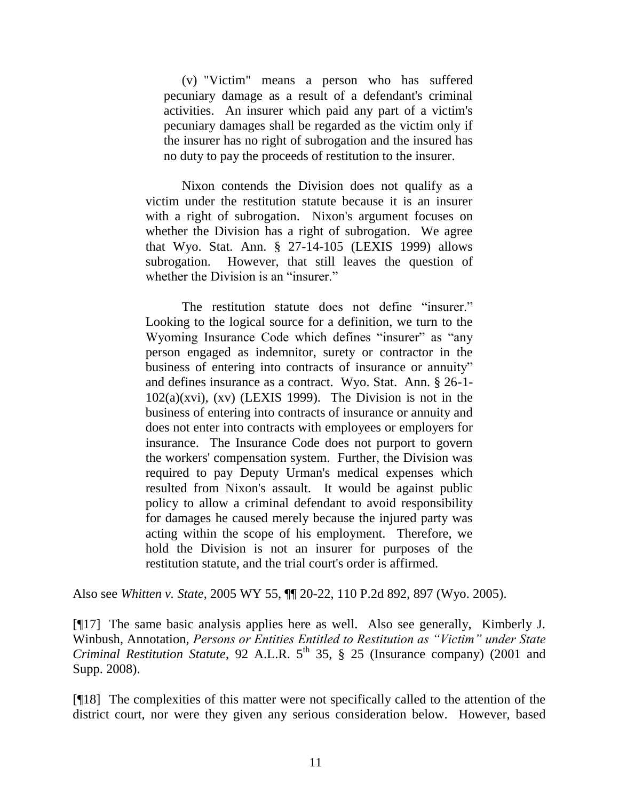(v) "Victim" means a person who has suffered pecuniary damage as a result of a defendant's criminal activities. An insurer which paid any part of a victim's pecuniary damages shall be regarded as the victim only if the insurer has no right of subrogation and the insured has no duty to pay the proceeds of restitution to the insurer.

Nixon contends the Division does not qualify as a victim under the restitution statute because it is an insurer with a right of subrogation. Nixon's argument focuses on whether the Division has a right of subrogation. We agree that Wyo. Stat. Ann. § 27-14-105 (LEXIS 1999) allows subrogation. However, that still leaves the question of whether the Division is an "insurer."

The restitution statute does not define "insurer." Looking to the logical source for a definition, we turn to the Wyoming Insurance Code which defines "insurer" as "any person engaged as indemnitor, surety or contractor in the business of entering into contracts of insurance or annuity" and defines insurance as a contract. Wyo. Stat. Ann. § 26-1-  $102(a)(xvi)$ ,  $(xv)$  (LEXIS 1999). The Division is not in the business of entering into contracts of insurance or annuity and does not enter into contracts with employees or employers for insurance. The Insurance Code does not purport to govern the workers' compensation system. Further, the Division was required to pay Deputy Urman's medical expenses which resulted from Nixon's assault. It would be against public policy to allow a criminal defendant to avoid responsibility for damages he caused merely because the injured party was acting within the scope of his employment. Therefore, we hold the Division is not an insurer for purposes of the restitution statute, and the trial court's order is affirmed.

Also see *Whitten v. State*, 2005 WY 55, ¶¶ 20-22, 110 P.2d 892, 897 (Wyo. 2005).

[¶17] The same basic analysis applies here as well. Also see generally, Kimberly J. Winbush, Annotation, *Persons or Entities Entitled to Restitution as "Victim" under State Criminal Restitution Statute*, 92 A.L.R. 5<sup>th</sup> 35, § 25 (Insurance company) (2001 and Supp. 2008).

[¶18] The complexities of this matter were not specifically called to the attention of the district court, nor were they given any serious consideration below. However, based